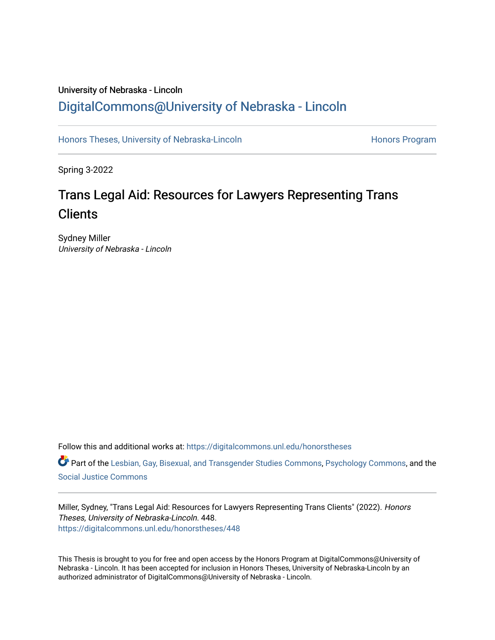## University of Nebraska - Lincoln [DigitalCommons@University of Nebraska - Lincoln](https://digitalcommons.unl.edu/)

[Honors Theses, University of Nebraska-Lincoln](https://digitalcommons.unl.edu/honorstheses) **Honors Program** Honors Program

Spring 3-2022

# Trans Legal Aid: Resources for Lawyers Representing Trans **Clients**

Sydney Miller University of Nebraska - Lincoln

Follow this and additional works at: [https://digitalcommons.unl.edu/honorstheses](https://digitalcommons.unl.edu/honorstheses?utm_source=digitalcommons.unl.edu%2Fhonorstheses%2F448&utm_medium=PDF&utm_campaign=PDFCoverPages)

Part of the [Lesbian, Gay, Bisexual, and Transgender Studies Commons](http://network.bepress.com/hgg/discipline/560?utm_source=digitalcommons.unl.edu%2Fhonorstheses%2F448&utm_medium=PDF&utm_campaign=PDFCoverPages), [Psychology Commons](http://network.bepress.com/hgg/discipline/404?utm_source=digitalcommons.unl.edu%2Fhonorstheses%2F448&utm_medium=PDF&utm_campaign=PDFCoverPages), and the [Social Justice Commons](http://network.bepress.com/hgg/discipline/1432?utm_source=digitalcommons.unl.edu%2Fhonorstheses%2F448&utm_medium=PDF&utm_campaign=PDFCoverPages) 

Miller, Sydney, "Trans Legal Aid: Resources for Lawyers Representing Trans Clients" (2022). Honors Theses, University of Nebraska-Lincoln. 448. [https://digitalcommons.unl.edu/honorstheses/448](https://digitalcommons.unl.edu/honorstheses/448?utm_source=digitalcommons.unl.edu%2Fhonorstheses%2F448&utm_medium=PDF&utm_campaign=PDFCoverPages)

This Thesis is brought to you for free and open access by the Honors Program at DigitalCommons@University of Nebraska - Lincoln. It has been accepted for inclusion in Honors Theses, University of Nebraska-Lincoln by an authorized administrator of DigitalCommons@University of Nebraska - Lincoln.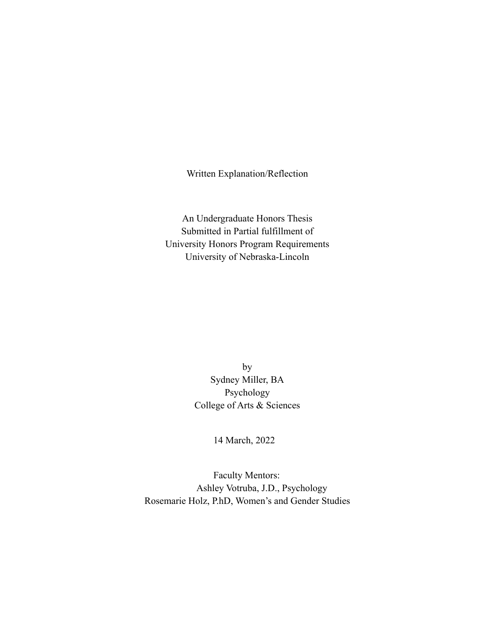Written Explanation/Reflection

An Undergraduate Honors Thesis Submitted in Partial fulfillment of University Honors Program Requirements University of Nebraska-Lincoln

> by Sydney Miller, BA Psychology College of Arts & Sciences

> > 14 March, 2022

 Faculty Mentors: Ashley Votruba, J.D., Psychology Rosemarie Holz, P.hD, Women's and Gender Studies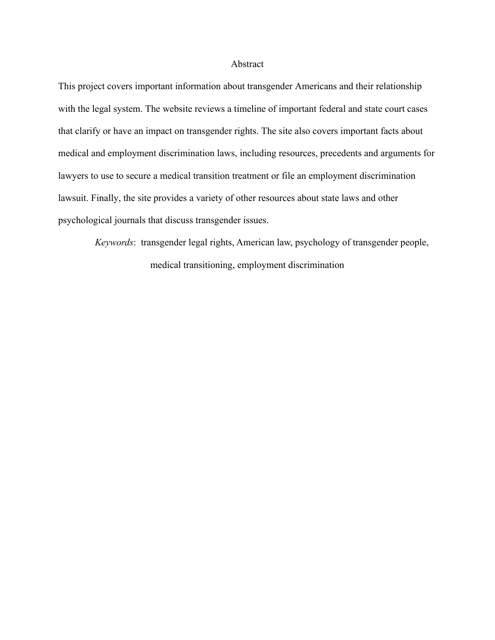#### Abstract

This project covers important information about transgender Americans and their relationship with the legal system. The website reviews a timeline of important federal and state court cases that clarify or have an impact on transgender rights. The site also covers important facts about medical and employment discrimination laws, including resources, precedents and arguments for lawyers to use to secure a medical transition treatment or file an employment discrimination lawsuit. Finally, the site provides a variety of other resources about state laws and other psychological journals that discuss transgender issues.

*Keywords*: transgender legal rights, American law, psychology of transgender people, medical transitioning, employment discrimination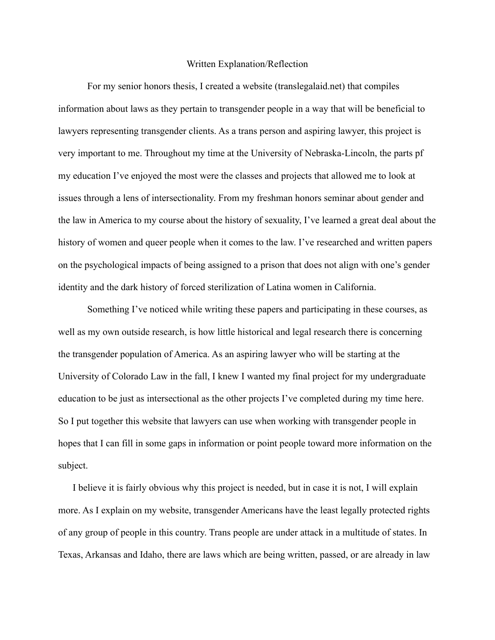### Written Explanation/Reflection

For my senior honors thesis, I created a website (translegalaid.net) that compiles information about laws as they pertain to transgender people in a way that will be beneficial to lawyers representing transgender clients. As a trans person and aspiring lawyer, this project is very important to me. Throughout my time at the University of Nebraska-Lincoln, the parts pf my education I've enjoyed the most were the classes and projects that allowed me to look at issues through a lens of intersectionality. From my freshman honors seminar about gender and the law in America to my course about the history of sexuality, I've learned a great deal about the history of women and queer people when it comes to the law. I've researched and written papers on the psychological impacts of being assigned to a prison that does not align with one's gender identity and the dark history of forced sterilization of Latina women in California.

Something I've noticed while writing these papers and participating in these courses, as well as my own outside research, is how little historical and legal research there is concerning the transgender population of America. As an aspiring lawyer who will be starting at the University of Colorado Law in the fall, I knew I wanted my final project for my undergraduate education to be just as intersectional as the other projects I've completed during my time here. So I put together this website that lawyers can use when working with transgender people in hopes that I can fill in some gaps in information or point people toward more information on the subject.

I believe it is fairly obvious why this project is needed, but in case it is not, I will explain more. As I explain on my website, transgender Americans have the least legally protected rights of any group of people in this country. Trans people are under attack in a multitude of states. In Texas, Arkansas and Idaho, there are laws which are being written, passed, or are already in law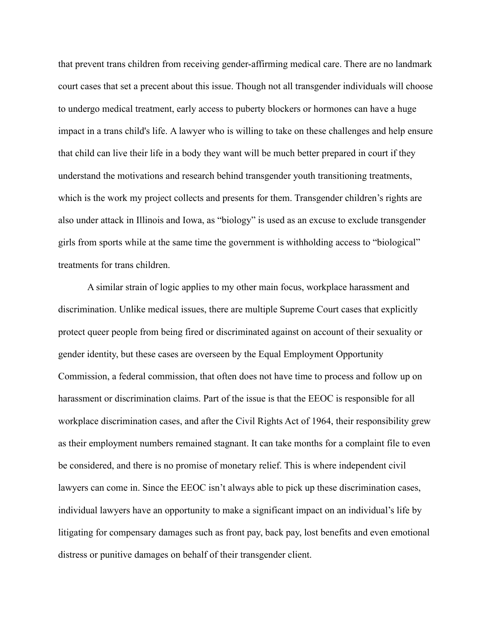that prevent trans children from receiving gender-affirming medical care. There are no landmark court cases that set a precent about this issue. Though not all transgender individuals will choose to undergo medical treatment, early access to puberty blockers or hormones can have a huge impact in a trans child's life. A lawyer who is willing to take on these challenges and help ensure that child can live their life in a body they want will be much better prepared in court if they understand the motivations and research behind transgender youth transitioning treatments, which is the work my project collects and presents for them. Transgender children's rights are also under attack in Illinois and Iowa, as "biology" is used as an excuse to exclude transgender girls from sports while at the same time the government is withholding access to "biological" treatments for trans children.

A similar strain of logic applies to my other main focus, workplace harassment and discrimination. Unlike medical issues, there are multiple Supreme Court cases that explicitly protect queer people from being fired or discriminated against on account of their sexuality or gender identity, but these cases are overseen by the Equal Employment Opportunity Commission, a federal commission, that often does not have time to process and follow up on harassment or discrimination claims. Part of the issue is that the EEOC is responsible for all workplace discrimination cases, and after the Civil Rights Act of 1964, their responsibility grew as their employment numbers remained stagnant. It can take months for a complaint file to even be considered, and there is no promise of monetary relief. This is where independent civil lawyers can come in. Since the EEOC isn't always able to pick up these discrimination cases, individual lawyers have an opportunity to make a significant impact on an individual's life by litigating for compensary damages such as front pay, back pay, lost benefits and even emotional distress or punitive damages on behalf of their transgender client.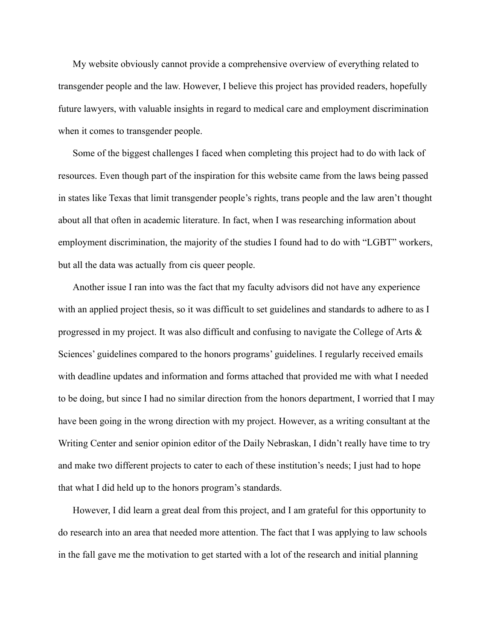My website obviously cannot provide a comprehensive overview of everything related to transgender people and the law. However, I believe this project has provided readers, hopefully future lawyers, with valuable insights in regard to medical care and employment discrimination when it comes to transgender people.

Some of the biggest challenges I faced when completing this project had to do with lack of resources. Even though part of the inspiration for this website came from the laws being passed in states like Texas that limit transgender people's rights, trans people and the law aren't thought about all that often in academic literature. In fact, when I was researching information about employment discrimination, the majority of the studies I found had to do with "LGBT" workers, but all the data was actually from cis queer people.

Another issue I ran into was the fact that my faculty advisors did not have any experience with an applied project thesis, so it was difficult to set guidelines and standards to adhere to as I progressed in my project. It was also difficult and confusing to navigate the College of Arts & Sciences' guidelines compared to the honors programs' guidelines. I regularly received emails with deadline updates and information and forms attached that provided me with what I needed to be doing, but since I had no similar direction from the honors department, I worried that I may have been going in the wrong direction with my project. However, as a writing consultant at the Writing Center and senior opinion editor of the Daily Nebraskan, I didn't really have time to try and make two different projects to cater to each of these institution's needs; I just had to hope that what I did held up to the honors program's standards.

However, I did learn a great deal from this project, and I am grateful for this opportunity to do research into an area that needed more attention. The fact that I was applying to law schools in the fall gave me the motivation to get started with a lot of the research and initial planning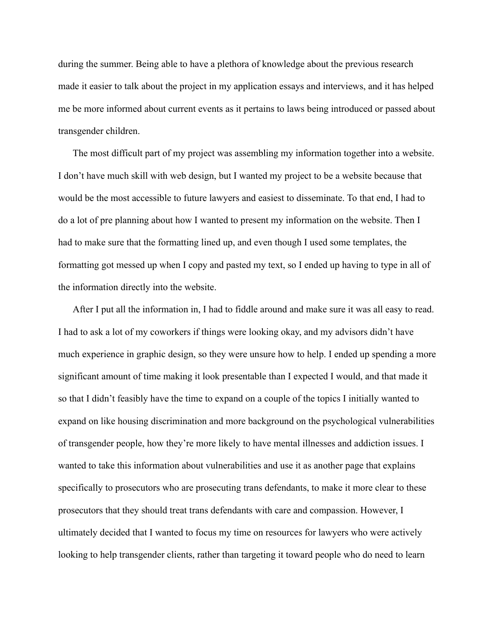during the summer. Being able to have a plethora of knowledge about the previous research made it easier to talk about the project in my application essays and interviews, and it has helped me be more informed about current events as it pertains to laws being introduced or passed about transgender children.

The most difficult part of my project was assembling my information together into a website. I don't have much skill with web design, but I wanted my project to be a website because that would be the most accessible to future lawyers and easiest to disseminate. To that end, I had to do a lot of pre planning about how I wanted to present my information on the website. Then I had to make sure that the formatting lined up, and even though I used some templates, the formatting got messed up when I copy and pasted my text, so I ended up having to type in all of the information directly into the website.

After I put all the information in, I had to fiddle around and make sure it was all easy to read. I had to ask a lot of my coworkers if things were looking okay, and my advisors didn't have much experience in graphic design, so they were unsure how to help. I ended up spending a more significant amount of time making it look presentable than I expected I would, and that made it so that I didn't feasibly have the time to expand on a couple of the topics I initially wanted to expand on like housing discrimination and more background on the psychological vulnerabilities of transgender people, how they're more likely to have mental illnesses and addiction issues. I wanted to take this information about vulnerabilities and use it as another page that explains specifically to prosecutors who are prosecuting trans defendants, to make it more clear to these prosecutors that they should treat trans defendants with care and compassion. However, I ultimately decided that I wanted to focus my time on resources for lawyers who were actively looking to help transgender clients, rather than targeting it toward people who do need to learn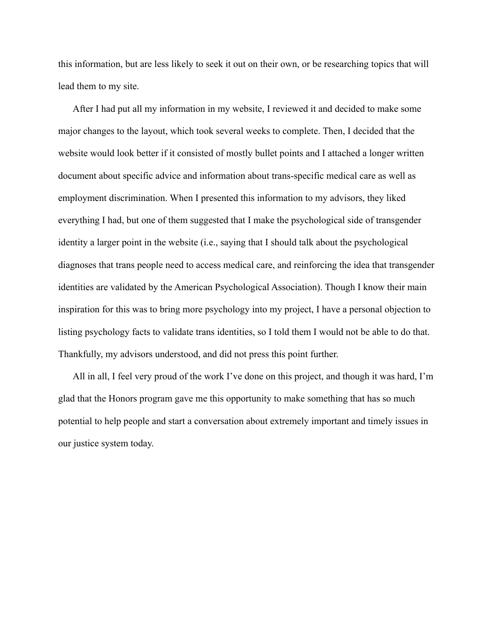this information, but are less likely to seek it out on their own, or be researching topics that will lead them to my site.

After I had put all my information in my website, I reviewed it and decided to make some major changes to the layout, which took several weeks to complete. Then, I decided that the website would look better if it consisted of mostly bullet points and I attached a longer written document about specific advice and information about trans-specific medical care as well as employment discrimination. When I presented this information to my advisors, they liked everything I had, but one of them suggested that I make the psychological side of transgender identity a larger point in the website (i.e., saying that I should talk about the psychological diagnoses that trans people need to access medical care, and reinforcing the idea that transgender identities are validated by the American Psychological Association). Though I know their main inspiration for this was to bring more psychology into my project, I have a personal objection to listing psychology facts to validate trans identities, so I told them I would not be able to do that. Thankfully, my advisors understood, and did not press this point further.

All in all, I feel very proud of the work I've done on this project, and though it was hard, I'm glad that the Honors program gave me this opportunity to make something that has so much potential to help people and start a conversation about extremely important and timely issues in our justice system today.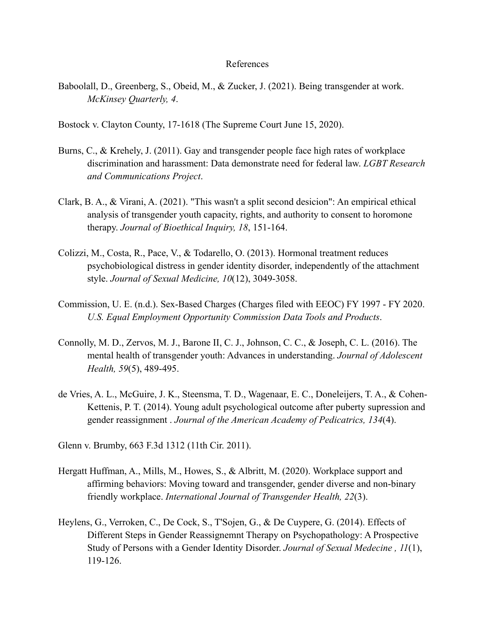#### References

- Baboolall, D., Greenberg, S., Obeid, M., & Zucker, J. (2021). Being transgender at work. *McKinsey Quarterly, 4*.
- Bostock v. Clayton County, 17-1618 (The Supreme Court June 15, 2020).
- Burns, C., & Krehely, J. (2011). Gay and transgender people face high rates of workplace discrimination and harassment: Data demonstrate need for federal law. *LGBT Research and Communications Project*.
- Clark, B. A., & Virani, A. (2021). "This wasn't a split second desicion": An empirical ethical analysis of transgender youth capacity, rights, and authority to consent to horomone therapy. *Journal of Bioethical Inquiry, 18*, 151-164.
- Colizzi, M., Costa, R., Pace, V., & Todarello, O. (2013). Hormonal treatment reduces psychobiological distress in gender identity disorder, independently of the attachment style. *Journal of Sexual Medicine, 10*(12), 3049-3058.
- Commission, U. E. (n.d.). Sex-Based Charges (Charges filed with EEOC) FY 1997 FY 2020. *U.S. Equal Employment Opportunity Commission Data Tools and Products*.
- Connolly, M. D., Zervos, M. J., Barone II, C. J., Johnson, C. C., & Joseph, C. L. (2016). The mental health of transgender youth: Advances in understanding. *Journal of Adolescent Health, 59*(5), 489-495.
- de Vries, A. L., McGuire, J. K., Steensma, T. D., Wagenaar, E. C., Doneleijers, T. A., & Cohen-Kettenis, P. T. (2014). Young adult psychological outcome after puberty supression and gender reassignment . *Journal of the American Academy of Pedicatrics, 134*(4).
- Glenn v. Brumby, 663 F.3d 1312 (11th Cir. 2011).
- Hergatt Huffman, A., Mills, M., Howes, S., & Albritt, M. (2020). Workplace support and affirming behaviors: Moving toward and transgender, gender diverse and non-binary friendly workplace. *International Journal of Transgender Health, 22*(3).
- Heylens, G., Verroken, C., De Cock, S., T'Sojen, G., & De Cuypere, G. (2014). Effects of Different Steps in Gender Reassignemnt Therapy on Psychopathology: A Prospective Study of Persons with a Gender Identity Disorder. *Journal of Sexual Medecine , 11*(1), 119-126.